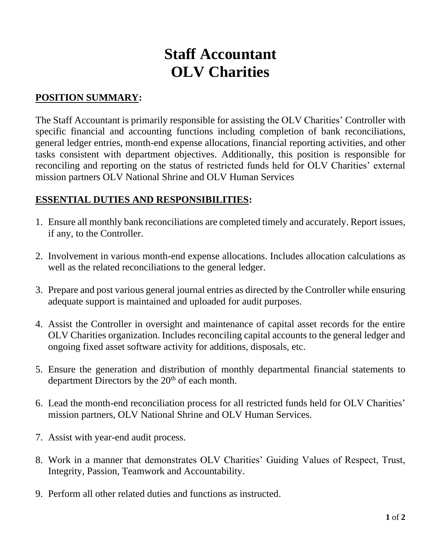# **Staff Accountant OLV Charities**

## **POSITION SUMMARY:**

The Staff Accountant is primarily responsible for assisting the OLV Charities' Controller with specific financial and accounting functions including completion of bank reconciliations, general ledger entries, month-end expense allocations, financial reporting activities, and other tasks consistent with department objectives. Additionally, this position is responsible for reconciling and reporting on the status of restricted funds held for OLV Charities' external mission partners OLV National Shrine and OLV Human Services

### **ESSENTIAL DUTIES AND RESPONSIBILITIES:**

- 1. Ensure all monthly bank reconciliations are completed timely and accurately. Report issues, if any, to the Controller.
- 2. Involvement in various month-end expense allocations. Includes allocation calculations as well as the related reconciliations to the general ledger.
- 3. Prepare and post various general journal entries as directed by the Controller while ensuring adequate support is maintained and uploaded for audit purposes.
- 4. Assist the Controller in oversight and maintenance of capital asset records for the entire OLV Charities organization. Includes reconciling capital accounts to the general ledger and ongoing fixed asset software activity for additions, disposals, etc.
- 5. Ensure the generation and distribution of monthly departmental financial statements to department Directors by the 20<sup>th</sup> of each month.
- 6. Lead the month-end reconciliation process for all restricted funds held for OLV Charities' mission partners, OLV National Shrine and OLV Human Services.
- 7. Assist with year-end audit process.
- 8. Work in a manner that demonstrates OLV Charities' Guiding Values of Respect, Trust, Integrity, Passion, Teamwork and Accountability.
- 9. Perform all other related duties and functions as instructed.